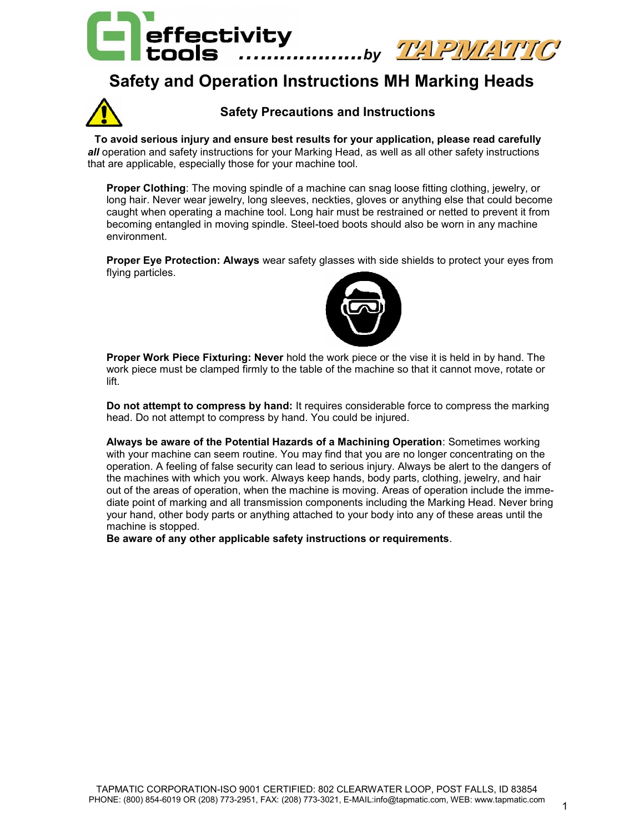

## **Safety and Operation Instructions MH Marking Heads**



#### **Safety Precautions and Instructions**

 **To avoid serious injury and ensure best results for your application, please read carefully**  *all* operation and safety instructions for your Marking Head, as well as all other safety instructions that are applicable, especially those for your machine tool.

**Proper Clothing**: The moving spindle of a machine can snag loose fitting clothing, jewelry, or long hair. Never wear jewelry, long sleeves, neckties, gloves or anything else that could become caught when operating a machine tool. Long hair must be restrained or netted to prevent it from becoming entangled in moving spindle. Steel-toed boots should also be worn in any machine environment.

**Proper Eye Protection: Always** wear safety glasses with side shields to protect your eyes from flying particles.

![](_page_0_Picture_7.jpeg)

**Proper Work Piece Fixturing: Never** hold the work piece or the vise it is held in by hand. The work piece must be clamped firmly to the table of the machine so that it cannot move, rotate or lift.

**Do not attempt to compress by hand:** It requires considerable force to compress the marking head. Do not attempt to compress by hand. You could be injured.

**Always be aware of the Potential Hazards of a Machining Operation**: Sometimes working with your machine can seem routine. You may find that you are no longer concentrating on the operation. A feeling of false security can lead to serious injury. Always be alert to the dangers of the machines with which you work. Always keep hands, body parts, clothing, jewelry, and hair out of the areas of operation, when the machine is moving. Areas of operation include the immediate point of marking and all transmission components including the Marking Head. Never bring your hand, other body parts or anything attached to your body into any of these areas until the machine is stopped.

**Be aware of any other applicable safety instructions or requirements**.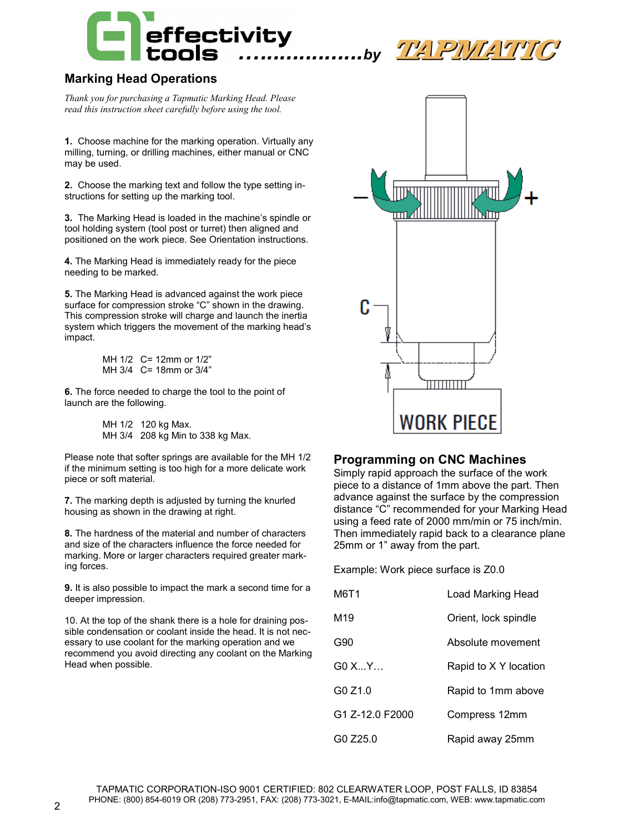![](_page_1_Picture_0.jpeg)

![](_page_1_Picture_1.jpeg)

## **Marking Head Operations**

*Thank you for purchasing a Tapmatic Marking Head. Please read this instruction sheet carefully before using the tool.*

**1.** Choose machine for the marking operation. Virtually any milling, turning, or drilling machines, either manual or CNC may be used.

**2.** Choose the marking text and follow the type setting instructions for setting up the marking tool.

**3.** The Marking Head is loaded in the machine's spindle or tool holding system (tool post or turret) then aligned and positioned on the work piece. See Orientation instructions.

**4.** The Marking Head is immediately ready for the piece needing to be marked.

**5.** The Marking Head is advanced against the work piece surface for compression stroke "C" shown in the drawing. This compression stroke will charge and launch the inertia system which triggers the movement of the marking head's impact.

> MH 1/2 C= 12mm or 1/2" MH 3/4 C= 18mm or 3/4"

**6.** The force needed to charge the tool to the point of launch are the following.

> MH 1/2 120 kg Max. MH 3/4 208 kg Min to 338 kg Max.

Please note that softer springs are available for the MH 1/2 if the minimum setting is too high for a more delicate work piece or soft material.

**7.** The marking depth is adjusted by turning the knurled housing as shown in the drawing at right.

**8.** The hardness of the material and number of characters and size of the characters influence the force needed for marking. More or larger characters required greater marking forces.

**9.** It is also possible to impact the mark a second time for a deeper impression.

10. At the top of the shank there is a hole for draining possible condensation or coolant inside the head. It is not necessary to use coolant for the marking operation and we recommend you avoid directing any coolant on the Marking Head when possible.

![](_page_1_Figure_17.jpeg)

### **Programming on CNC Machines**

Simply rapid approach the surface of the work piece to a distance of 1mm above the part. Then advance against the surface by the compression distance "C" recommended for your Marking Head using a feed rate of 2000 mm/min or 75 inch/min. Then immediately rapid back to a clearance plane 25mm or 1" away from the part.

Example: Work piece surface is Z0.0

| M6T1            | Load Marking Head     |
|-----------------|-----------------------|
| M <sub>19</sub> | Orient, lock spindle  |
| G90             | Absolute movement     |
| GO XY           | Rapid to X Y location |
| G0Z1.0          | Rapid to 1mm above    |
| G1 Z-12.0 F2000 | Compress 12mm         |
| GO Z25.0        | Rapid away 25mm       |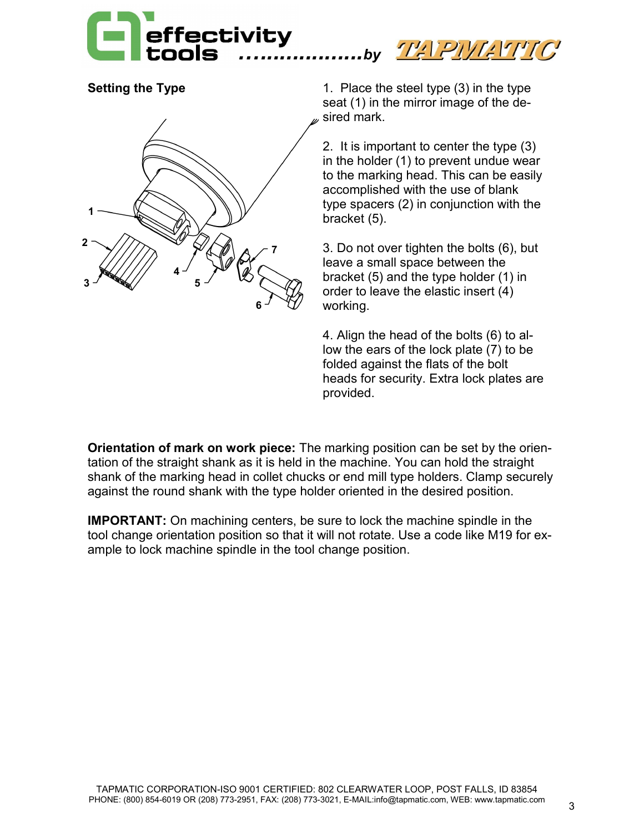![](_page_2_Picture_0.jpeg)

![](_page_2_Picture_3.jpeg)

**Setting the Type** 1. Place the steel type (3) in the type seat (1) in the mirror image of the desired mark.

> 2. It is important to center the type (3) in the holder (1) to prevent undue wear to the marking head. This can be easily accomplished with the use of blank type spacers (2) in conjunction with the bracket (5).

3. Do not over tighten the bolts (6), but leave a small space between the bracket (5) and the type holder (1) in order to leave the elastic insert (4) working.

4. Align the head of the bolts (6) to allow the ears of the lock plate (7) to be folded against the flats of the bolt heads for security. Extra lock plates are provided.

**Orientation of mark on work piece:** The marking position can be set by the orientation of the straight shank as it is held in the machine. You can hold the straight shank of the marking head in collet chucks or end mill type holders. Clamp securely against the round shank with the type holder oriented in the desired position.

**IMPORTANT:** On machining centers, be sure to lock the machine spindle in the tool change orientation position so that it will not rotate. Use a code like M19 for example to lock machine spindle in the tool change position.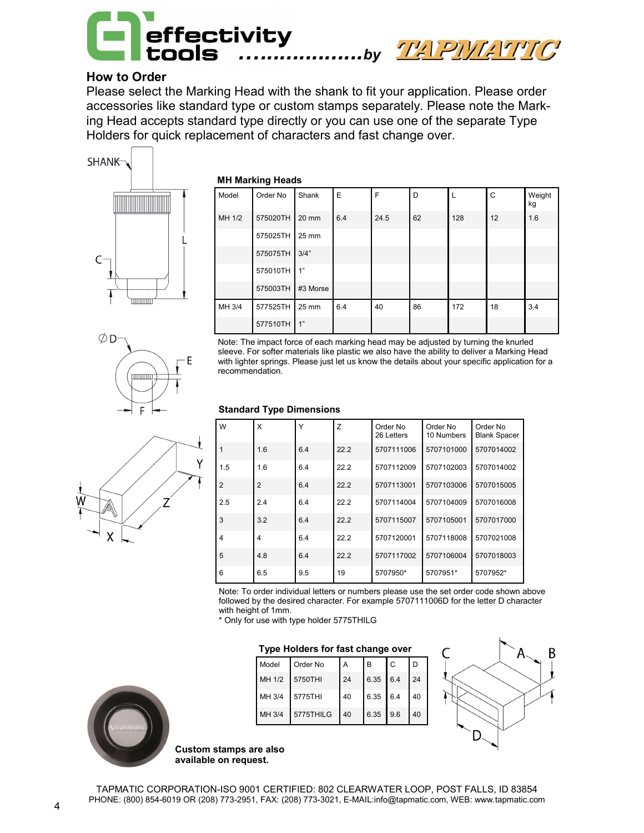![](_page_3_Picture_0.jpeg)

## **How to Order**

Please select the Marking Head with the shank to fit your application. Please order accessories like standard type or custom stamps separately. Please note the Marking Head accepts standard type directly or you can use one of the separate Type Holders for quick replacement of characters and fast change over.

![](_page_3_Figure_3.jpeg)

#### **MH Marking Heads**

| Model  | Order No | Shank    | E   | F    | D  | L   | C  | Weight<br>kg |
|--------|----------|----------|-----|------|----|-----|----|--------------|
| MH 1/2 | 575020TH | 20 mm    | 6.4 | 24.5 | 62 | 128 | 12 | 1.6          |
|        | 575025TH | 25 mm    |     |      |    |     |    |              |
|        | 575075TH | 3/4"     |     |      |    |     |    |              |
|        | 575010TH | 1"       |     |      |    |     |    |              |
|        | 575003TH | #3 Morse |     |      |    |     |    |              |
| MH 3/4 | 577525TH | 25 mm    | 6.4 | 40   | 86 | 172 | 18 | 3.4          |
|        | 577510TH | 1"       |     |      |    |     |    |              |

Note: The impact force of each marking head may be adjusted by turning the knurled sleeve. For softer materials like plastic we also have the ability to deliver a Marking Head with lighter springs. Please just let us know the details about your specific application for a recommendation.

#### **Standard Type Dimensions**

| W              | X              | Y   | Z    | Order No<br>26 Letters | Order No<br>10 Numbers | Order No<br><b>Blank Spacer</b> |
|----------------|----------------|-----|------|------------------------|------------------------|---------------------------------|
|                | 1.6            | 6.4 | 22.2 | 5707111006             | 5707101000             | 5707014002                      |
| 1.5            | 1.6            | 6.4 | 22.2 | 5707112009             | 5707102003             | 5707014002                      |
| $\overline{2}$ | $\overline{2}$ | 6.4 | 22.2 | 5707113001             | 5707103006             | 5707015005                      |
| 2.5            | 2.4            | 6.4 | 22.2 | 5707114004             | 5707104009             | 5707016008                      |
| 3              | 3.2            | 6.4 | 22.2 | 5707115007             | 5707105001             | 5707017000                      |
| $\overline{4}$ | 4              | 6.4 | 22.2 | 5707120001             | 5707118008             | 5707021008                      |
| 5              | 4.8            | 6.4 | 22.2 | 5707117002             | 5707106004             | 5707018003                      |
| 6              | 6.5            | 9.5 | 19   | 5707950*               | 5707951*               | 5707952*                        |

Note: To order individual letters or numbers please use the set order code shown above followed by the desired character. For example 5707111006D for the letter D character with height of 1mm.

\* Only for use with type holder 5775THILG

#### **Type Holders for fast change over**

| Model  | Order No  | A  | B        | C   | D  |
|--------|-----------|----|----------|-----|----|
| MH 1/2 | 5750THI   | 24 | 6.35     | 6.4 | 24 |
| MH 3/4 | 5775THI   | 40 | 6.35 6.4 |     | 40 |
| MH 3/4 | 5775THILG | 40 | 6.35 9.6 |     | 40 |

![](_page_3_Figure_13.jpeg)

![](_page_3_Picture_14.jpeg)

**Custom stamps are also available on request.**

![](_page_3_Picture_17.jpeg)

![](_page_3_Figure_18.jpeg)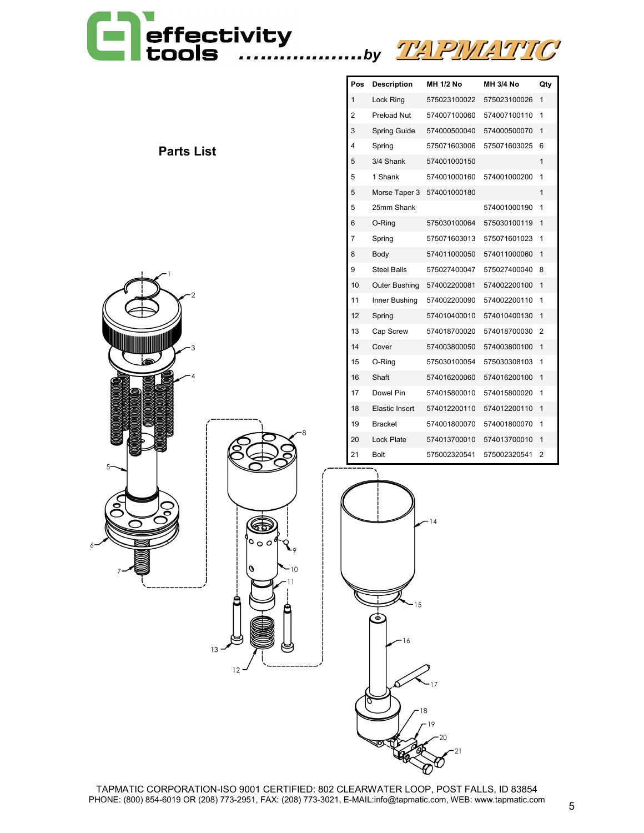# *…................by*

![](_page_4_Picture_1.jpeg)

| <b>Parts List</b> |  |
|-------------------|--|
|-------------------|--|

![](_page_4_Picture_3.jpeg)

| Pos | <b>Description</b> | MH 1/2 No    | <b>MH 3/4 No</b> | Qty |
|-----|--------------------|--------------|------------------|-----|
| 1   | Lock Ring          | 575023100022 | 575023100026     | 1   |
| 2   | <b>Preload Nut</b> | 574007100060 | 574007100110     | 1   |
| 3   | Spring Guide       | 574000500040 | 574000500070     | 1   |
| 4   | Spring             | 575071603006 | 575071603025     | 6   |
| 5   | 3/4 Shank          | 574001000150 |                  | 1   |
| 5   | 1 Shank            | 574001000160 | 574001000200     | 1   |
| 5   | Morse Taper 3      | 574001000180 |                  | 1   |
| 5   | 25mm Shank         |              | 574001000190     | 1   |
| 6   | O-Ring             | 575030100064 | 575030100119     | 1   |
| 7   | Spring             | 575071603013 | 575071601023     | 1   |
| 8   | Body               | 574011000050 | 574011000060     | 1   |
| 9   | <b>Steel Balls</b> | 575027400047 | 575027400040     | 8   |
| 10  | Outer Bushing      | 574002200081 | 574002200100     | 1   |
| 11  | Inner Bushing      | 574002200090 | 574002200110     | 1   |
| 12  | Spring             | 574010400010 | 574010400130     | 1   |
| 13  | Cap Screw          | 574018700020 | 574018700030     | 2   |
| 14  | Cover              | 574003800050 | 574003800100     | 1   |
| 15  | O-Ring             | 575030100054 | 575030308103     | 1   |
| 16  | Shaft              | 574016200060 | 574016200100     | 1   |
| 17  | Dowel Pin          | 574015800010 | 574015800020     | 1   |
| 18  | Elastic Insert     | 574012200110 | 574012200110     | 1   |
| 19  | <b>Bracket</b>     | 574001800070 | 574001800070     | 1   |
| 20  | <b>Lock Plate</b>  | 574013700010 | 574013700010     | 1   |
| 21  | <b>Bolt</b>        | 575002320541 | 575002320541     | 2   |

![](_page_4_Figure_5.jpeg)

TAPMATIC CORPORATION-ISO 9001 CERTIFIED: 802 CLEARWATER LOOP, POST FALLS, ID 83854 PHONE: (800) 854-6019 OR (208) 773-2951, FAX: (208) 773-3021, E-MAIL:info@tapmatic.com, WEB: www.tapmatic.com